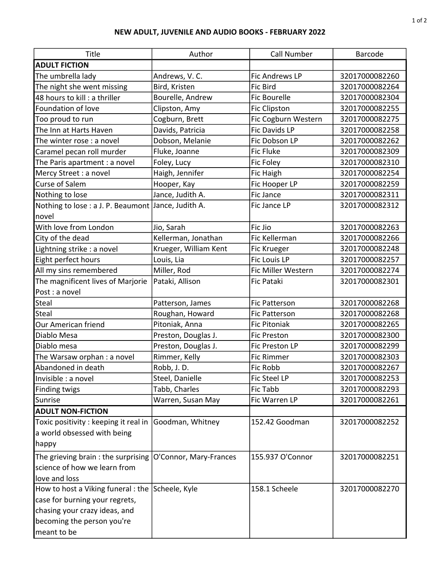## NEW ADULT, JUVENILE AND AUDIO BOOKS - FEBRUARY 2022

| Title                                               | Author                 | <b>Call Number</b>  | Barcode        |
|-----------------------------------------------------|------------------------|---------------------|----------------|
| <b>ADULT FICTION</b>                                |                        |                     |                |
| The umbrella lady                                   | Andrews, V.C.          | Fic Andrews LP      | 32017000082260 |
| The night she went missing                          | Bird, Kristen          | Fic Bird            | 32017000082264 |
| 48 hours to kill : a thriller                       | Bourelle, Andrew       | <b>Fic Bourelle</b> | 32017000082304 |
| Foundation of love                                  | Clipston, Amy          | <b>Fic Clipston</b> | 32017000082255 |
| Too proud to run                                    | Cogburn, Brett         | Fic Cogburn Western | 32017000082275 |
| The Inn at Harts Haven                              | Davids, Patricia       | Fic Davids LP       | 32017000082258 |
| The winter rose : a novel                           | Dobson, Melanie        | Fic Dobson LP       | 32017000082262 |
| Caramel pecan roll murder                           | Fluke, Joanne          | <b>Fic Fluke</b>    | 32017000082309 |
| The Paris apartment : a novel                       | Foley, Lucy            | Fic Foley           | 32017000082310 |
| Mercy Street : a novel                              | Haigh, Jennifer        | <b>Fic Haigh</b>    | 32017000082254 |
| Curse of Salem                                      | Hooper, Kay            | Fic Hooper LP       | 32017000082259 |
| Nothing to lose                                     | Jance, Judith A.       | Fic Jance           | 32017000082311 |
| Nothing to lose : a J. P. Beaumont Jance, Judith A. |                        | Fic Jance LP        | 32017000082312 |
| novel                                               |                        |                     |                |
| With love from London                               | Jio, Sarah             | Fic Jio             | 32017000082263 |
| City of the dead                                    | Kellerman, Jonathan    | Fic Kellerman       | 32017000082266 |
| Lightning strike : a novel                          | Krueger, William Kent  | Fic Krueger         | 32017000082248 |
| Eight perfect hours                                 | Louis, Lia             | Fic Louis LP        | 32017000082257 |
| All my sins remembered                              | Miller, Rod            | Fic Miller Western  | 32017000082274 |
| The magnificent lives of Marjorie                   | Pataki, Allison        | <b>Fic Pataki</b>   | 32017000082301 |
| Post : a novel                                      |                        |                     |                |
| Steal                                               | Patterson, James       | Fic Patterson       | 32017000082268 |
| <b>Steal</b>                                        | Roughan, Howard        | Fic Patterson       | 32017000082268 |
| Our American friend                                 | Pitoniak, Anna         | <b>Fic Pitoniak</b> | 32017000082265 |
| Diablo Mesa                                         | Preston, Douglas J.    | <b>Fic Preston</b>  | 32017000082300 |
| Diablo mesa                                         | Preston, Douglas J.    | Fic Preston LP      | 32017000082299 |
| The Warsaw orphan: a novel                          | Rimmer, Kelly          | <b>Fic Rimmer</b>   | 32017000082303 |
| Abandoned in death                                  | Robb, J.D.             | Fic Robb            | 32017000082267 |
| Invisible : a novel                                 | Steel, Danielle        | Fic Steel LP        | 32017000082253 |
| <b>Finding twigs</b>                                | Tabb, Charles          | Fic Tabb            | 32017000082293 |
| Sunrise                                             | Warren, Susan May      | Fic Warren LP       | 32017000082261 |
| <b>ADULT NON-FICTION</b>                            |                        |                     |                |
| Toxic positivity: keeping it real in                | Goodman, Whitney       | 152.42 Goodman      | 32017000082252 |
| a world obsessed with being                         |                        |                     |                |
| happy                                               |                        |                     |                |
| The grieving brain : the surprising                 | O'Connor, Mary-Frances | 155.937 O'Connor    | 32017000082251 |
| science of how we learn from                        |                        |                     |                |
| love and loss                                       |                        |                     |                |
| How to host a Viking funeral : the Scheele, Kyle    |                        | 158.1 Scheele       | 32017000082270 |
| case for burning your regrets,                      |                        |                     |                |
| chasing your crazy ideas, and                       |                        |                     |                |
| becoming the person you're                          |                        |                     |                |
| meant to be                                         |                        |                     |                |